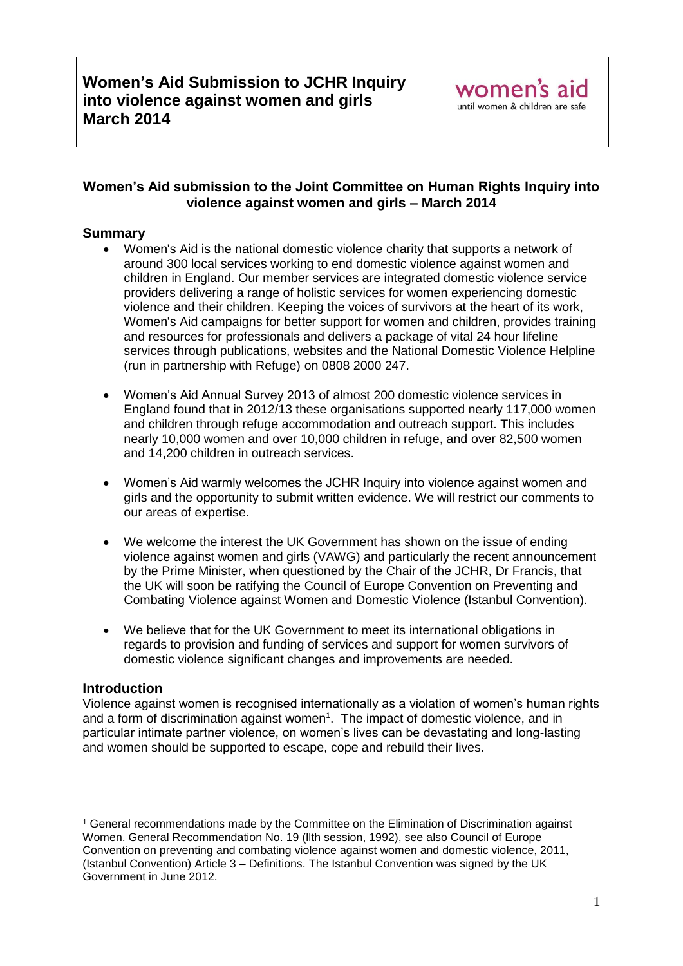### **Women's Aid submission to the Joint Committee on Human Rights Inquiry into violence against women and girls – March 2014**

## **Summary**

- Women's Aid is the national domestic violence charity that supports a network of around 300 local services working to end domestic violence against women and children in England. Our member services are integrated domestic violence service providers delivering a range of holistic services for women experiencing domestic violence and their children. Keeping the voices of survivors at the heart of its work, Women's Aid campaigns for better support for women and children, provides training and resources for professionals and delivers a package of vital 24 hour lifeline services through publications, websites and the National Domestic Violence Helpline (run in partnership with Refuge) on 0808 2000 247.
- Women's Aid Annual Survey 2013 of almost 200 domestic violence services in England found that in 2012/13 these organisations supported nearly 117,000 women and children through refuge accommodation and outreach support. This includes nearly 10,000 women and over 10,000 children in refuge, and over 82,500 women and 14,200 children in outreach services.
- Women's Aid warmly welcomes the JCHR Inquiry into violence against women and girls and the opportunity to submit written evidence. We will restrict our comments to our areas of expertise.
- We welcome the interest the UK Government has shown on the issue of ending violence against women and girls (VAWG) and particularly the recent announcement by the Prime Minister, when questioned by the Chair of the JCHR, Dr Francis, that the UK will soon be ratifying the Council of Europe Convention on Preventing and Combating Violence against Women and Domestic Violence (Istanbul Convention).
- We believe that for the UK Government to meet its international obligations in regards to provision and funding of services and support for women survivors of domestic violence significant changes and improvements are needed.

### **Introduction**

Violence against women is recognised internationally as a violation of women's human rights and a form of discrimination against women<sup>1</sup>. The impact of domestic violence, and in particular intimate partner violence, on women's lives can be devastating and long-lasting and women should be supported to escape, cope and rebuild their lives.

<sup>&</sup>lt;u>.</u> <sup>1</sup> General recommendations made by the Committee on the Elimination of Discrimination against Women. General Recommendation No. 19 (llth session, 1992), see also Council of Europe Convention on preventing and combating violence against women and domestic violence, 2011, (Istanbul Convention) Article 3 – Definitions. The Istanbul Convention was signed by the UK Government in June 2012.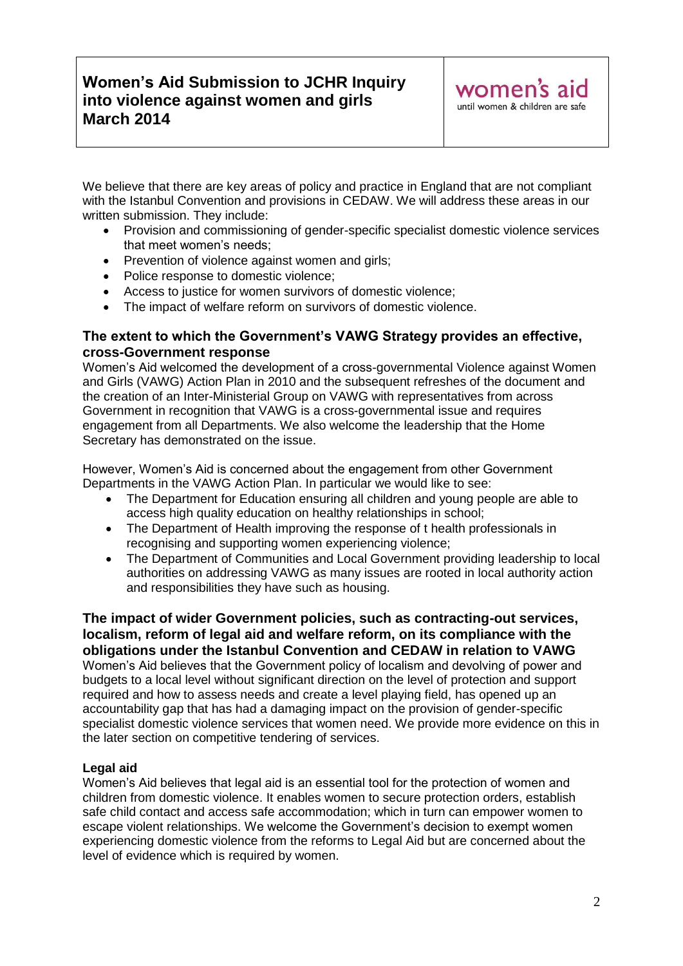We believe that there are key areas of policy and practice in England that are not compliant with the Istanbul Convention and provisions in CEDAW. We will address these areas in our written submission. They include:

- Provision and commissioning of gender-specific specialist domestic violence services that meet women's needs;
- Prevention of violence against women and girls;
- Police response to domestic violence;
- Access to justice for women survivors of domestic violence;
- The impact of welfare reform on survivors of domestic violence.

### **The extent to which the Government's VAWG Strategy provides an effective, cross-Government response**

Women's Aid welcomed the development of a cross-governmental Violence against Women and Girls (VAWG) Action Plan in 2010 and the subsequent refreshes of the document and the creation of an Inter-Ministerial Group on VAWG with representatives from across Government in recognition that VAWG is a cross-governmental issue and requires engagement from all Departments. We also welcome the leadership that the Home Secretary has demonstrated on the issue.

However, Women's Aid is concerned about the engagement from other Government Departments in the VAWG Action Plan. In particular we would like to see:

- The Department for Education ensuring all children and young people are able to access high quality education on healthy relationships in school;
- The Department of Health improving the response of t health professionals in recognising and supporting women experiencing violence;
- The Department of Communities and Local Government providing leadership to local authorities on addressing VAWG as many issues are rooted in local authority action and responsibilities they have such as housing.

**The impact of wider Government policies, such as contracting-out services, localism, reform of legal aid and welfare reform, on its compliance with the obligations under the Istanbul Convention and CEDAW in relation to VAWG** Women's Aid believes that the Government policy of localism and devolving of power and budgets to a local level without significant direction on the level of protection and support required and how to assess needs and create a level playing field, has opened up an accountability gap that has had a damaging impact on the provision of gender-specific specialist domestic violence services that women need. We provide more evidence on this in the later section on competitive tendering of services.

#### **Legal aid**

Women's Aid believes that legal aid is an essential tool for the protection of women and children from domestic violence. It enables women to secure protection orders, establish safe child contact and access safe accommodation; which in turn can empower women to escape violent relationships. We welcome the Government's decision to exempt women experiencing domestic violence from the reforms to Legal Aid but are concerned about the level of evidence which is required by women.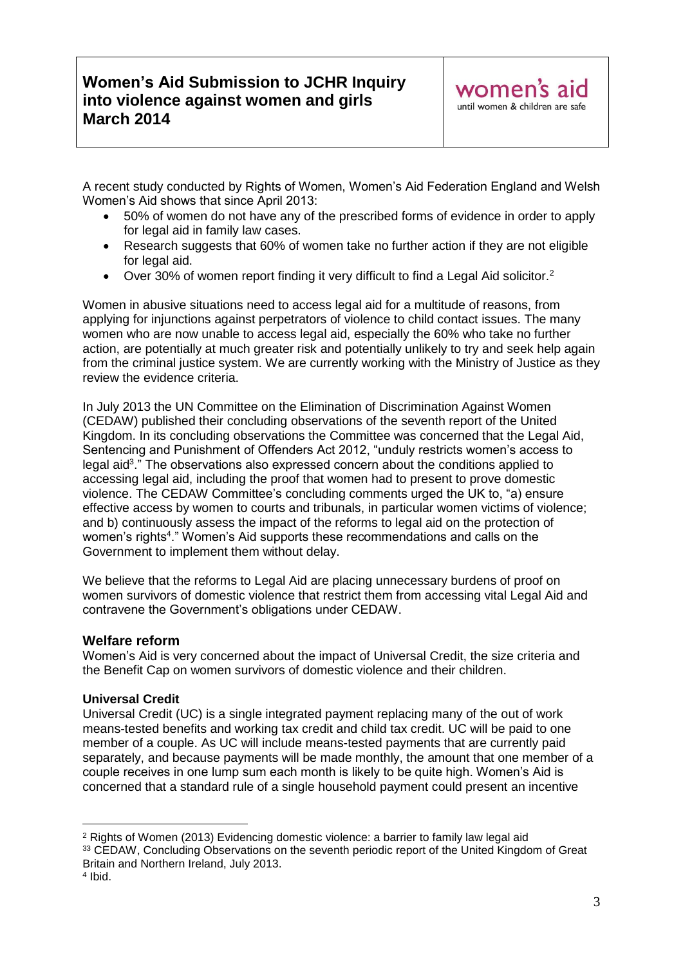A recent study conducted by Rights of Women, Women's Aid Federation England and Welsh Women's Aid shows that since April 2013:

- 50% of women do not have any of the prescribed forms of evidence in order to apply for legal aid in family law cases.
- Research suggests that 60% of women take no further action if they are not eligible for legal aid.
- Over 30% of women report finding it very difficult to find a Legal Aid solicitor.<sup>2</sup>

Women in abusive situations need to access legal aid for a multitude of reasons, from applying for injunctions against perpetrators of violence to child contact issues. The many women who are now unable to access legal aid, especially the 60% who take no further action, are potentially at much greater risk and potentially unlikely to try and seek help again from the criminal justice system. We are currently working with the Ministry of Justice as they review the evidence criteria.

In July 2013 the UN Committee on the Elimination of Discrimination Against Women (CEDAW) published their concluding observations of the seventh report of the United Kingdom. In its concluding observations the Committee was concerned that the Legal Aid, Sentencing and Punishment of Offenders Act 2012, "unduly restricts women's access to legal aid<sup>3</sup>." The observations also expressed concern about the conditions applied to accessing legal aid, including the proof that women had to present to prove domestic violence. The CEDAW Committee's concluding comments urged the UK to, "a) ensure effective access by women to courts and tribunals, in particular women victims of violence; and b) continuously assess the impact of the reforms to legal aid on the protection of women's rights<sup>4</sup>." Women's Aid supports these recommendations and calls on the Government to implement them without delay.

We believe that the reforms to Legal Aid are placing unnecessary burdens of proof on women survivors of domestic violence that restrict them from accessing vital Legal Aid and contravene the Government's obligations under CEDAW.

### **Welfare reform**

Women's Aid is very concerned about the impact of Universal Credit, the size criteria and the Benefit Cap on women survivors of domestic violence and their children.

### **Universal Credit**

Universal Credit (UC) is a single integrated payment replacing many of the out of work means-tested benefits and working tax credit and child tax credit. UC will be paid to one member of a couple. As UC will include means-tested payments that are currently paid separately, and because payments will be made monthly, the amount that one member of a couple receives in one lump sum each month is likely to be quite high. Women's Aid is concerned that a standard rule of a single household payment could present an incentive

1

<sup>2</sup> Rights of Women (2013) Evidencing domestic violence: a barrier to family law legal aid <sup>33</sup> CEDAW, Concluding Observations on the seventh periodic report of the United Kingdom of Great Britain and Northern Ireland, July 2013.

<sup>4</sup> Ibid.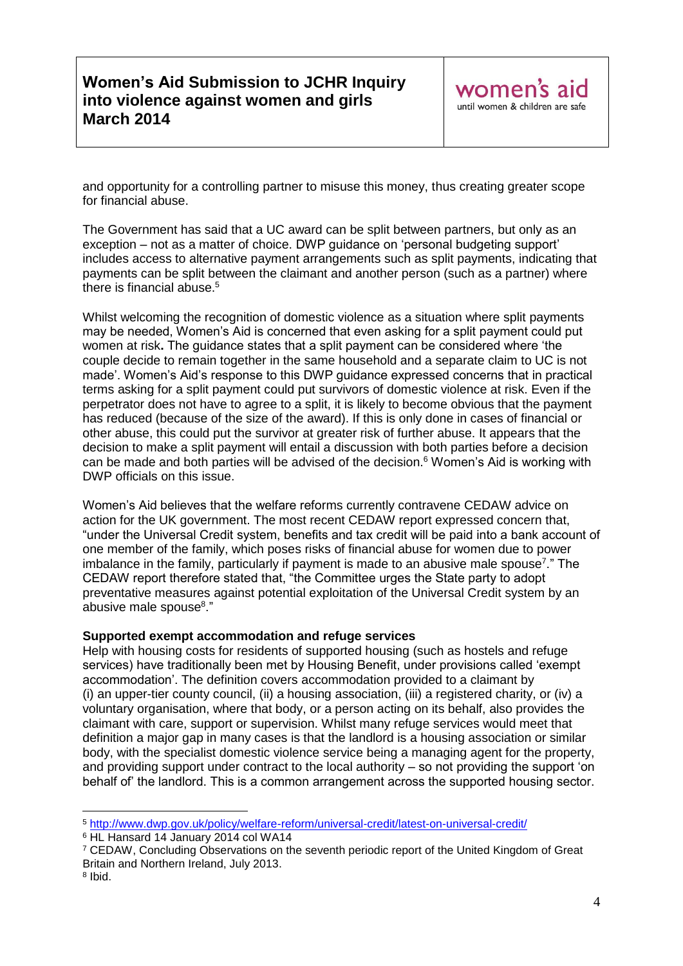and opportunity for a controlling partner to misuse this money, thus creating greater scope for financial abuse.

The Government has said that a UC award can be split between partners, but only as an exception – not as a matter of choice. DWP guidance on 'personal budgeting support' includes access to alternative payment arrangements such as split payments, indicating that payments can be split between the claimant and another person (such as a partner) where there is financial abuse. $5$ 

Whilst welcoming the recognition of domestic violence as a situation where split payments may be needed, Women's Aid is concerned that even asking for a split payment could put women at risk**.** The guidance states that a split payment can be considered where 'the couple decide to remain together in the same household and a separate claim to UC is not made'. Women's Aid's response to this DWP guidance expressed concerns that in practical terms asking for a split payment could put survivors of domestic violence at risk. Even if the perpetrator does not have to agree to a split, it is likely to become obvious that the payment has reduced (because of the size of the award). If this is only done in cases of financial or other abuse, this could put the survivor at greater risk of further abuse. It appears that the decision to make a split payment will entail a discussion with both parties before a decision can be made and both parties will be advised of the decision.<sup>6</sup> Women's Aid is working with DWP officials on this issue.

Women's Aid believes that the welfare reforms currently contravene CEDAW advice on action for the UK government. The most recent CEDAW report expressed concern that, "under the Universal Credit system, benefits and tax credit will be paid into a bank account of one member of the family, which poses risks of financial abuse for women due to power imbalance in the family, particularly if payment is made to an abusive male spouse<sup>7</sup>." The CEDAW report therefore stated that, "the Committee urges the State party to adopt preventative measures against potential exploitation of the Universal Credit system by an abusive male spouse<sup>8</sup>."

#### **Supported exempt accommodation and refuge services**

Help with housing costs for residents of supported housing (such as hostels and refuge services) have traditionally been met by Housing Benefit, under provisions called 'exempt accommodation'. The definition covers accommodation provided to a claimant by (i) an upper-tier county council, (ii) a housing association, (iii) a registered charity, or (iv) a voluntary organisation, where that body, or a person acting on its behalf, also provides the claimant with care, support or supervision. Whilst many refuge services would meet that definition a major gap in many cases is that the landlord is a housing association or similar body, with the specialist domestic violence service being a managing agent for the property, and providing support under contract to the local authority – so not providing the support 'on behalf of' the landlord. This is a common arrangement across the supported housing sector.

<u>.</u>

<sup>5</sup> <http://www.dwp.gov.uk/policy/welfare-reform/universal-credit/latest-on-universal-credit/>

<sup>&</sup>lt;sup>6</sup> HL Hansard 14 January 2014 col WA14

<sup>7</sup> CEDAW, Concluding Observations on the seventh periodic report of the United Kingdom of Great Britain and Northern Ireland, July 2013.

<sup>8</sup> Ibid.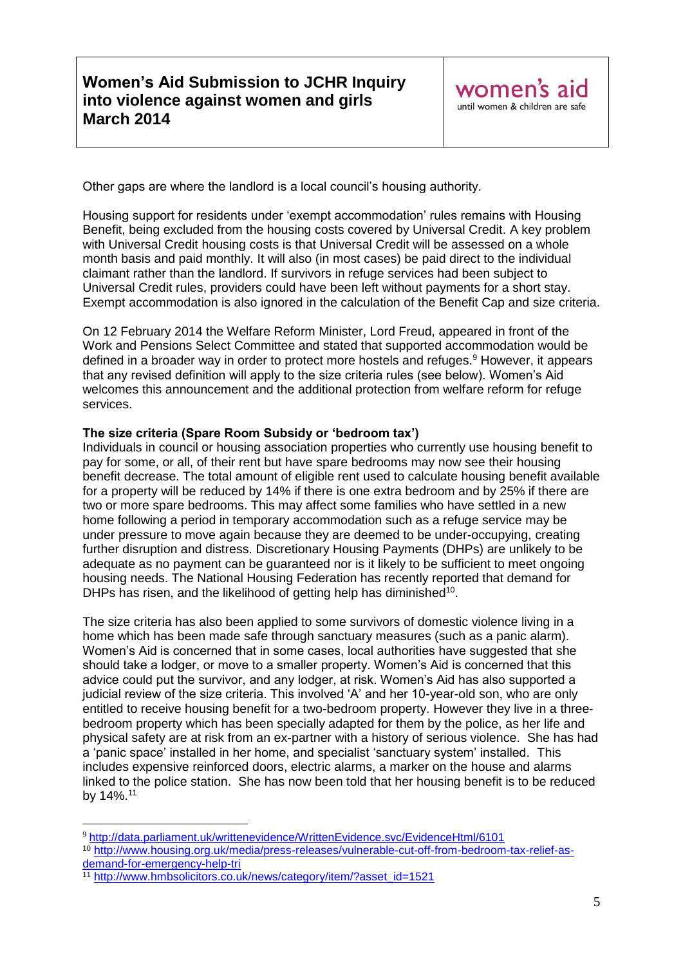Other gaps are where the landlord is a local council's housing authority.

Housing support for residents under 'exempt accommodation' rules remains with Housing Benefit, being excluded from the housing costs covered by Universal Credit. A key problem with Universal Credit housing costs is that Universal Credit will be assessed on a whole month basis and paid monthly. It will also (in most cases) be paid direct to the individual claimant rather than the landlord. If survivors in refuge services had been subject to Universal Credit rules, providers could have been left without payments for a short stay. Exempt accommodation is also ignored in the calculation of the Benefit Cap and size criteria.

On 12 February 2014 the Welfare Reform Minister, Lord Freud, appeared in front of the Work and Pensions Select Committee and stated that supported accommodation would be defined in a broader way in order to protect more hostels and refuges.<sup>9</sup> However, it appears that any revised definition will apply to the size criteria rules (see below). Women's Aid welcomes this announcement and the additional protection from welfare reform for refuge services.

#### **The size criteria (Spare Room Subsidy or 'bedroom tax')**

Individuals in council or housing association properties who currently use housing benefit to pay for some, or all, of their rent but have spare bedrooms may now see their housing benefit decrease. The total amount of eligible rent used to calculate housing benefit available for a property will be reduced by 14% if there is one extra bedroom and by 25% if there are two or more spare bedrooms. This may affect some families who have settled in a new home following a period in temporary accommodation such as a refuge service may be under pressure to move again because they are deemed to be under-occupying, creating further disruption and distress. Discretionary Housing Payments (DHPs) are unlikely to be adequate as no payment can be guaranteed nor is it likely to be sufficient to meet ongoing housing needs. The National Housing Federation has recently reported that demand for DHPs has risen, and the likelihood of getting help has diminished<sup>10</sup>.

The size criteria has also been applied to some survivors of domestic violence living in a home which has been made safe through sanctuary measures (such as a panic alarm). Women's Aid is concerned that in some cases, local authorities have suggested that she should take a lodger, or move to a smaller property. Women's Aid is concerned that this advice could put the survivor, and any lodger, at risk. Women's Aid has also supported a judicial review of the size criteria. This involved 'A' and her 10-year-old son, who are only entitled to receive housing benefit for a two-bedroom property. However they live in a threebedroom property which has been specially adapted for them by the police, as her life and physical safety are at risk from an ex-partner with a history of serious violence. She has had a 'panic space' installed in her home, and specialist 'sanctuary system' installed. This includes expensive reinforced doors, electric alarms, a marker on the house and alarms linked to the police station. She has now been told that her housing benefit is to be reduced by 14%.<sup>11</sup>

1

<sup>9</sup> <http://data.parliament.uk/writtenevidence/WrittenEvidence.svc/EvidenceHtml/6101>

<sup>10</sup> [http://www.housing.org.uk/media/press-releases/vulnerable-cut-off-from-bedroom-tax-relief-as](http://www.housing.org.uk/media/press-releases/vulnerable-cut-off-from-bedroom-tax-relief-as-demand-for-emergency-help-tri)[demand-for-emergency-help-tri](http://www.housing.org.uk/media/press-releases/vulnerable-cut-off-from-bedroom-tax-relief-as-demand-for-emergency-help-tri) 

<sup>11</sup> [http://www.hmbsolicitors.co.uk/news/category/item/?asset\\_id=1521](http://www.hmbsolicitors.co.uk/news/category/item/?asset_id=1521)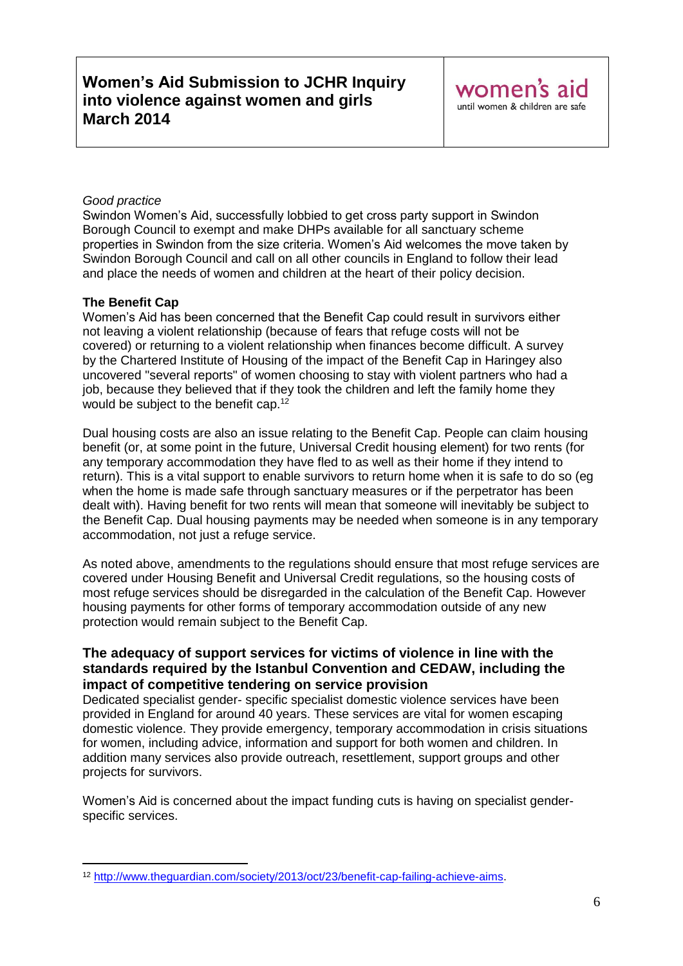### *Good practice*

Swindon Women's Aid, successfully lobbied to get cross party support in Swindon Borough Council to exempt and make DHPs available for all sanctuary scheme properties in Swindon from the size criteria. Women's Aid welcomes the move taken by Swindon Borough Council and call on all other councils in England to follow their lead and place the needs of women and children at the heart of their policy decision.

### **The Benefit Cap**

Women's Aid has been concerned that the Benefit Cap could result in survivors either not leaving a violent relationship (because of fears that refuge costs will not be covered) or returning to a violent relationship when finances become difficult. A survey by the Chartered Institute of Housing of the impact of the Benefit Cap in Haringey also uncovered "several reports" of women choosing to stay with violent partners who had a job, because they believed that if they took the children and left the family home they would be subject to the benefit cap.<sup>12</sup>

Dual housing costs are also an issue relating to the Benefit Cap. People can claim housing benefit (or, at some point in the future, Universal Credit housing element) for two rents (for any temporary accommodation they have fled to as well as their home if they intend to return). This is a vital support to enable survivors to return home when it is safe to do so (eg when the home is made safe through sanctuary measures or if the perpetrator has been dealt with). Having benefit for two rents will mean that someone will inevitably be subject to the Benefit Cap. Dual housing payments may be needed when someone is in any temporary accommodation, not just a refuge service.

As noted above, amendments to the regulations should ensure that most refuge services are covered under Housing Benefit and Universal Credit regulations, so the housing costs of most refuge services should be disregarded in the calculation of the Benefit Cap. However housing payments for other forms of temporary accommodation outside of any new protection would remain subject to the Benefit Cap.

### **The adequacy of support services for victims of violence in line with the standards required by the Istanbul Convention and CEDAW, including the impact of competitive tendering on service provision**

Dedicated specialist gender- specific specialist domestic violence services have been provided in England for around 40 years. These services are vital for women escaping domestic violence. They provide emergency, temporary accommodation in crisis situations for women, including advice, information and support for both women and children. In addition many services also provide outreach, resettlement, support groups and other projects for survivors.

Women's Aid is concerned about the impact funding cuts is having on specialist genderspecific services.

<sup>1</sup> <sup>12</sup> [http://www.theguardian.com/society/2013/oct/23/benefit-cap-failing-achieve-aims.](http://www.theguardian.com/society/2013/oct/23/benefit-cap-failing-achieve-aims)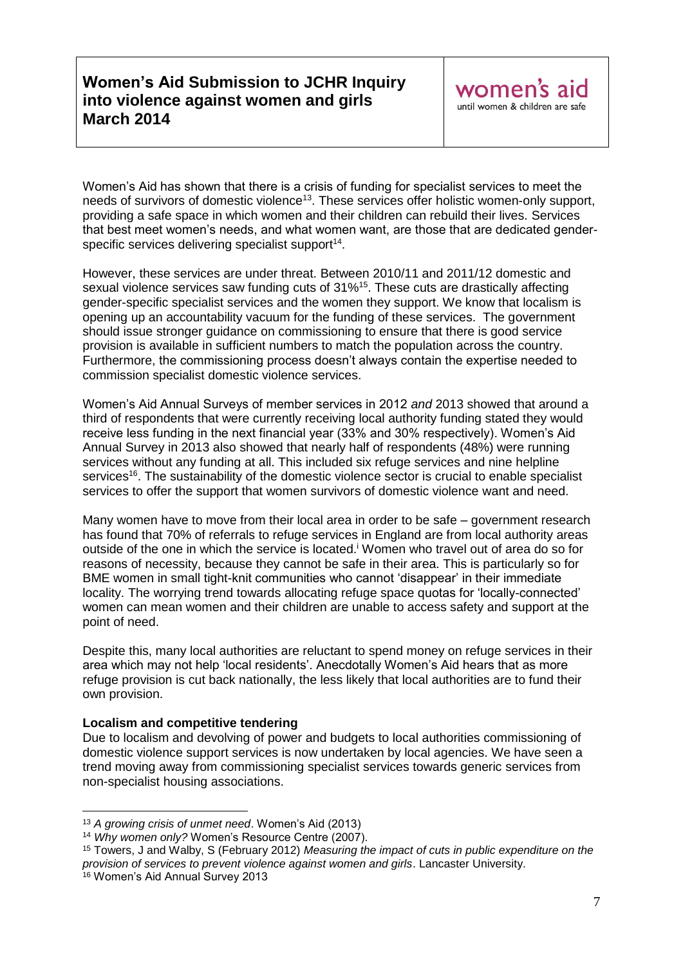Women's Aid has shown that there is a crisis of funding for specialist services to meet the needs of survivors of domestic violence<sup>13</sup>. These services offer holistic women-only support, providing a safe space in which women and their children can rebuild their lives. Services that best meet women's needs, and what women want, are those that are dedicated genderspecific services delivering specialist support $14$ .

However, these services are under threat. Between 2010/11 and 2011/12 domestic and sexual violence services saw funding cuts of 31%<sup>15</sup>. These cuts are drastically affecting gender-specific specialist services and the women they support. We know that localism is opening up an accountability vacuum for the funding of these services. The government should issue stronger guidance on commissioning to ensure that there is good service provision is available in sufficient numbers to match the population across the country. Furthermore, the commissioning process doesn't always contain the expertise needed to commission specialist domestic violence services.

Women's Aid Annual Surveys of member services in 2012 *and* 2013 showed that around a third of respondents that were currently receiving local authority funding stated they would receive less funding in the next financial year (33% and 30% respectively). Women's Aid Annual Survey in 2013 also showed that nearly half of respondents (48%) were running services without any funding at all. This included six refuge services and nine helpline services<sup>16</sup>. The sustainability of the domestic violence sector is crucial to enable specialist services to offer the support that women survivors of domestic violence want and need.

Many women have to move from their local area in order to be safe – government research has found that 70% of referrals to refuge services in England are from local authority areas outside of the one in which the service is located.<sup>i</sup> Women who travel out of area do so for reasons of necessity, because they cannot be safe in their area. This is particularly so for BME women in small tight-knit communities who cannot 'disappear' in their immediate locality. The worrying trend towards allocating refuge space quotas for 'locally-connected' women can mean women and their children are unable to access safety and support at the point of need.

Despite this, many local authorities are reluctant to spend money on refuge services in their area which may not help 'local residents'. Anecdotally Women's Aid hears that as more refuge provision is cut back nationally, the less likely that local authorities are to fund their own provision.

#### **Localism and competitive tendering**

Due to localism and devolving of power and budgets to local authorities commissioning of domestic violence support services is now undertaken by local agencies. We have seen a trend moving away from commissioning specialist services towards generic services from non-specialist housing associations.

<u>.</u>

<sup>13</sup> *A growing crisis of unmet need*. Women's Aid (2013)

<sup>14</sup> *Why women only?* Women's Resource Centre (2007).

<sup>15</sup> Towers, J and Walby, S (February 2012) *Measuring the impact of cuts in public expenditure on the provision of services to prevent violence against women and girls*. Lancaster University.

<sup>16</sup> Women's Aid Annual Survey 2013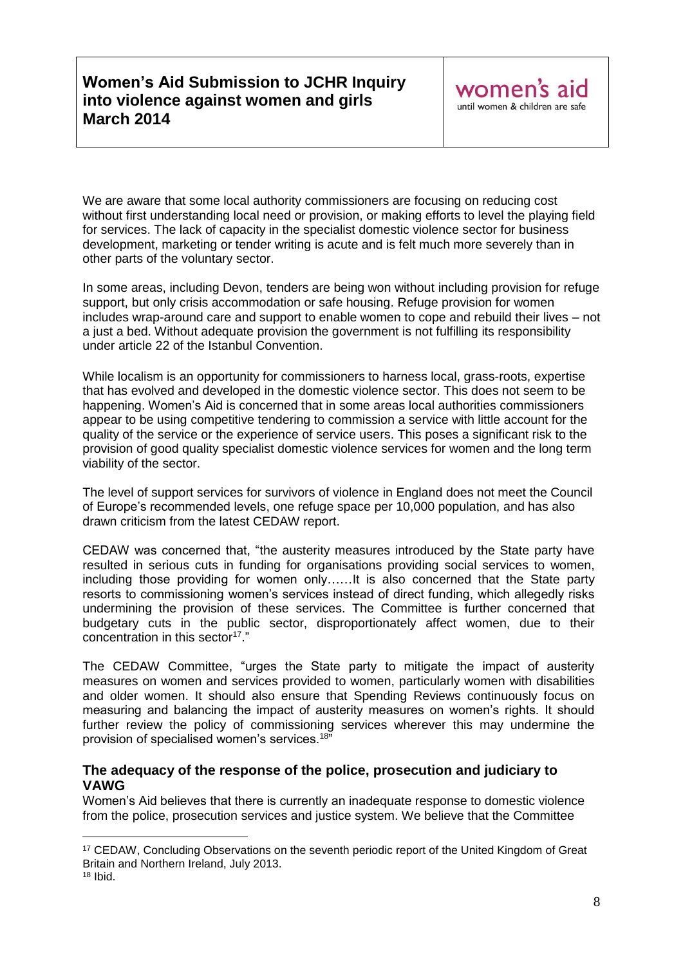We are aware that some local authority commissioners are focusing on reducing cost without first understanding local need or provision, or making efforts to level the playing field for services. The lack of capacity in the specialist domestic violence sector for business development, marketing or tender writing is acute and is felt much more severely than in other parts of the voluntary sector.

In some areas, including Devon, tenders are being won without including provision for refuge support, but only crisis accommodation or safe housing. Refuge provision for women includes wrap-around care and support to enable women to cope and rebuild their lives – not a just a bed. Without adequate provision the government is not fulfilling its responsibility under article 22 of the Istanbul Convention.

While localism is an opportunity for commissioners to harness local, grass-roots, expertise that has evolved and developed in the domestic violence sector. This does not seem to be happening. Women's Aid is concerned that in some areas local authorities commissioners appear to be using competitive tendering to commission a service with little account for the quality of the service or the experience of service users. This poses a significant risk to the provision of good quality specialist domestic violence services for women and the long term viability of the sector.

The level of support services for survivors of violence in England does not meet the Council of Europe's recommended levels, one refuge space per 10,000 population, and has also drawn criticism from the latest CEDAW report.

CEDAW was concerned that, "the austerity measures introduced by the State party have resulted in serious cuts in funding for organisations providing social services to women, including those providing for women only……It is also concerned that the State party resorts to commissioning women's services instead of direct funding, which allegedly risks undermining the provision of these services. The Committee is further concerned that budgetary cuts in the public sector, disproportionately affect women, due to their concentration in this sector<sup>17</sup>."

The CEDAW Committee, "urges the State party to mitigate the impact of austerity measures on women and services provided to women, particularly women with disabilities and older women. It should also ensure that Spending Reviews continuously focus on measuring and balancing the impact of austerity measures on women's rights. It should further review the policy of commissioning services wherever this may undermine the provision of specialised women's services.<sup>18</sup>"

### **The adequacy of the response of the police, prosecution and judiciary to VAWG**

Women's Aid believes that there is currently an inadequate response to domestic violence from the police, prosecution services and justice system. We believe that the Committee

<u>.</u>

<sup>&</sup>lt;sup>17</sup> CEDAW. Concluding Observations on the seventh periodic report of the United Kingdom of Great Britain and Northern Ireland, July 2013.

<sup>18</sup> Ibid.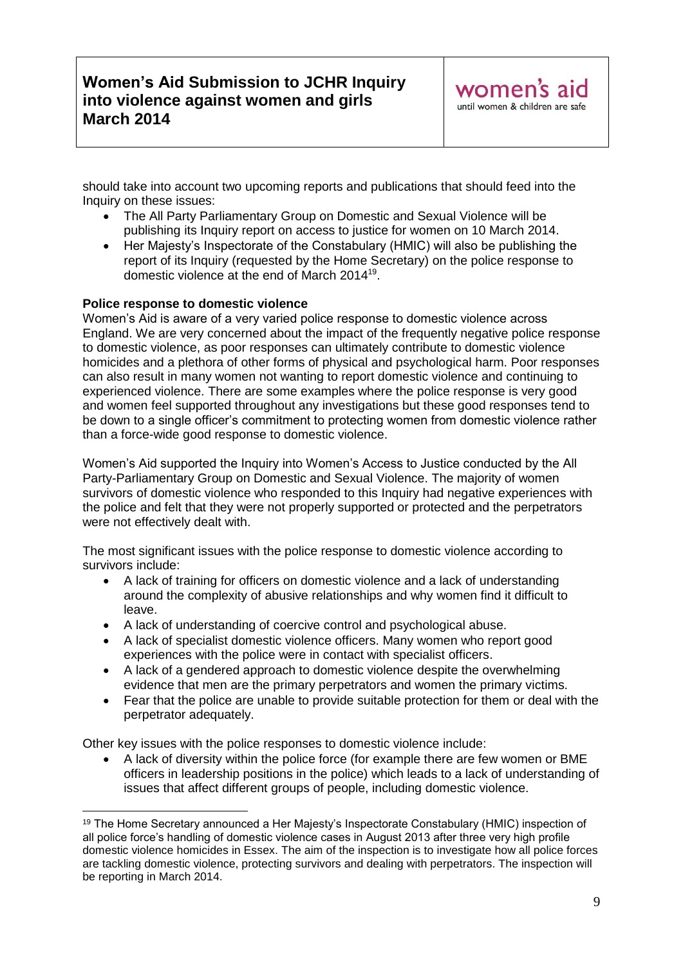should take into account two upcoming reports and publications that should feed into the Inquiry on these issues:

- The All Party Parliamentary Group on Domestic and Sexual Violence will be publishing its Inquiry report on access to justice for women on 10 March 2014.
- Her Majesty's Inspectorate of the Constabulary (HMIC) will also be publishing the report of its Inquiry (requested by the Home Secretary) on the police response to domestic violence at the end of March 2014<sup>19</sup>.

### **Police response to domestic violence**

<u>.</u>

Women's Aid is aware of a very varied police response to domestic violence across England. We are very concerned about the impact of the frequently negative police response to domestic violence, as poor responses can ultimately contribute to domestic violence homicides and a plethora of other forms of physical and psychological harm. Poor responses can also result in many women not wanting to report domestic violence and continuing to experienced violence. There are some examples where the police response is very good and women feel supported throughout any investigations but these good responses tend to be down to a single officer's commitment to protecting women from domestic violence rather than a force-wide good response to domestic violence.

Women's Aid supported the Inquiry into Women's Access to Justice conducted by the All Party-Parliamentary Group on Domestic and Sexual Violence. The majority of women survivors of domestic violence who responded to this Inquiry had negative experiences with the police and felt that they were not properly supported or protected and the perpetrators were not effectively dealt with.

The most significant issues with the police response to domestic violence according to survivors include:

- A lack of training for officers on domestic violence and a lack of understanding around the complexity of abusive relationships and why women find it difficult to leave.
- A lack of understanding of coercive control and psychological abuse.
- A lack of specialist domestic violence officers. Many women who report good experiences with the police were in contact with specialist officers.
- A lack of a gendered approach to domestic violence despite the overwhelming evidence that men are the primary perpetrators and women the primary victims.
- Fear that the police are unable to provide suitable protection for them or deal with the perpetrator adequately.

Other key issues with the police responses to domestic violence include:

 A lack of diversity within the police force (for example there are few women or BME officers in leadership positions in the police) which leads to a lack of understanding of issues that affect different groups of people, including domestic violence.

<sup>&</sup>lt;sup>19</sup> The Home Secretary announced a Her Majesty's Inspectorate Constabulary (HMIC) inspection of all police force's handling of domestic violence cases in August 2013 after three very high profile domestic violence homicides in Essex. The aim of the inspection is to investigate how all police forces are tackling domestic violence, protecting survivors and dealing with perpetrators. The inspection will be reporting in March 2014.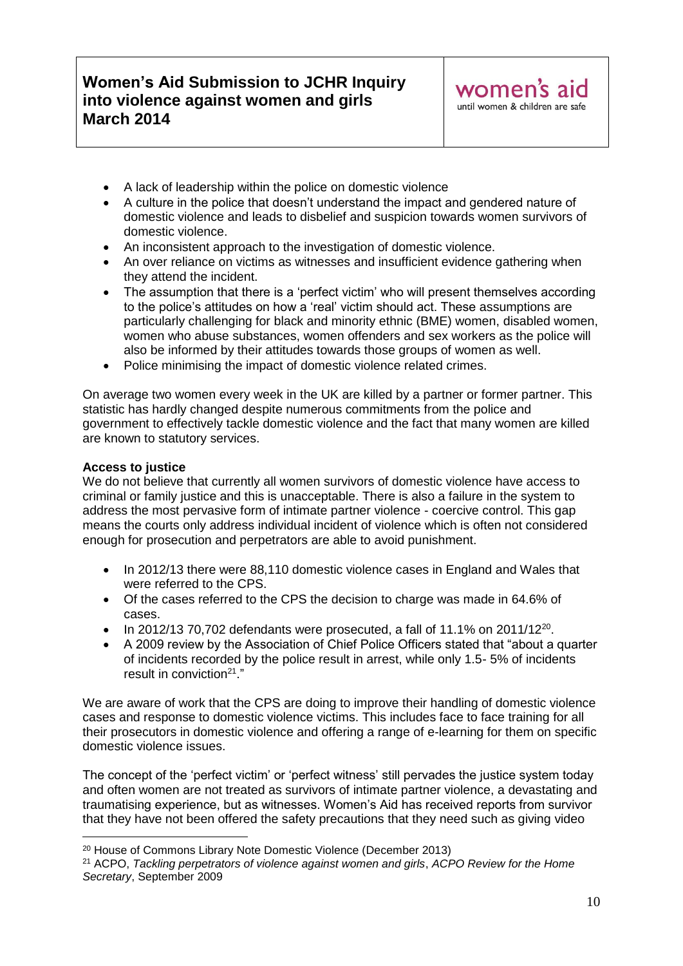- A lack of leadership within the police on domestic violence
- A culture in the police that doesn't understand the impact and gendered nature of domestic violence and leads to disbelief and suspicion towards women survivors of domestic violence.
- An inconsistent approach to the investigation of domestic violence.
- An over reliance on victims as witnesses and insufficient evidence gathering when they attend the incident.
- The assumption that there is a 'perfect victim' who will present themselves according to the police's attitudes on how a 'real' victim should act. These assumptions are particularly challenging for black and minority ethnic (BME) women, disabled women, women who abuse substances, women offenders and sex workers as the police will also be informed by their attitudes towards those groups of women as well.
- Police minimising the impact of domestic violence related crimes.

On average two women every week in the UK are killed by a partner or former partner. This statistic has hardly changed despite numerous commitments from the police and government to effectively tackle domestic violence and the fact that many women are killed are known to statutory services.

#### **Access to justice**

<u>.</u>

We do not believe that currently all women survivors of domestic violence have access to criminal or family justice and this is unacceptable. There is also a failure in the system to address the most pervasive form of intimate partner violence - coercive control. This gap means the courts only address individual incident of violence which is often not considered enough for prosecution and perpetrators are able to avoid punishment.

- In 2012/13 there were 88,110 domestic violence cases in England and Wales that were referred to the CPS.
- Of the cases referred to the CPS the decision to charge was made in 64.6% of cases.
- $\bullet$  In 2012/13 70,702 defendants were prosecuted, a fall of 11.1% on 2011/12<sup>20</sup>.
- A 2009 review by the Association of Chief Police Officers stated that "about a quarter of incidents recorded by the police result in arrest, while only 1.5- 5% of incidents result in conviction<sup>21</sup>."

We are aware of work that the CPS are doing to improve their handling of domestic violence cases and response to domestic violence victims. This includes face to face training for all their prosecutors in domestic violence and offering a range of e-learning for them on specific domestic violence issues.

The concept of the 'perfect victim' or 'perfect witness' still pervades the justice system today and often women are not treated as survivors of intimate partner violence, a devastating and traumatising experience, but as witnesses. Women's Aid has received reports from survivor that they have not been offered the safety precautions that they need such as giving video

<sup>20</sup> House of Commons Library Note Domestic Violence (December 2013)

<sup>21</sup> ACPO, *Tackling perpetrators of violence against women and girls*, *ACPO Review for the Home Secretary*, September 2009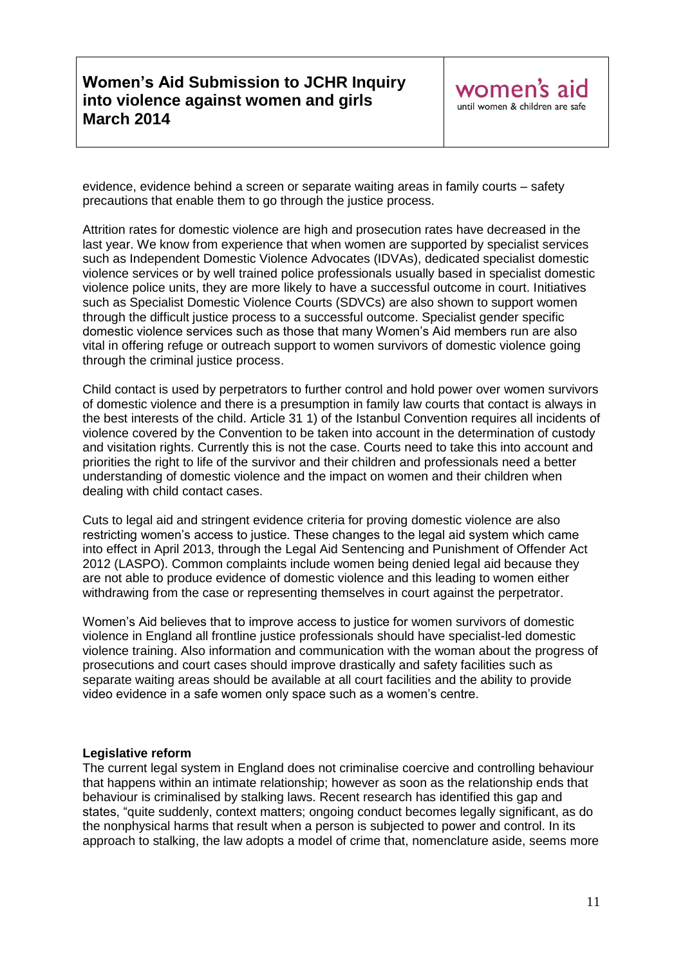evidence, evidence behind a screen or separate waiting areas in family courts – safety precautions that enable them to go through the justice process.

Attrition rates for domestic violence are high and prosecution rates have decreased in the last year. We know from experience that when women are supported by specialist services such as Independent Domestic Violence Advocates (IDVAs), dedicated specialist domestic violence services or by well trained police professionals usually based in specialist domestic violence police units, they are more likely to have a successful outcome in court. Initiatives such as Specialist Domestic Violence Courts (SDVCs) are also shown to support women through the difficult justice process to a successful outcome. Specialist gender specific domestic violence services such as those that many Women's Aid members run are also vital in offering refuge or outreach support to women survivors of domestic violence going through the criminal justice process.

Child contact is used by perpetrators to further control and hold power over women survivors of domestic violence and there is a presumption in family law courts that contact is always in the best interests of the child. Article 31 1) of the Istanbul Convention requires all incidents of violence covered by the Convention to be taken into account in the determination of custody and visitation rights. Currently this is not the case. Courts need to take this into account and priorities the right to life of the survivor and their children and professionals need a better understanding of domestic violence and the impact on women and their children when dealing with child contact cases.

Cuts to legal aid and stringent evidence criteria for proving domestic violence are also restricting women's access to justice. These changes to the legal aid system which came into effect in April 2013, through the Legal Aid Sentencing and Punishment of Offender Act 2012 (LASPO). Common complaints include women being denied legal aid because they are not able to produce evidence of domestic violence and this leading to women either withdrawing from the case or representing themselves in court against the perpetrator.

Women's Aid believes that to improve access to justice for women survivors of domestic violence in England all frontline justice professionals should have specialist-led domestic violence training. Also information and communication with the woman about the progress of prosecutions and court cases should improve drastically and safety facilities such as separate waiting areas should be available at all court facilities and the ability to provide video evidence in a safe women only space such as a women's centre.

#### **Legislative reform**

The current legal system in England does not criminalise coercive and controlling behaviour that happens within an intimate relationship; however as soon as the relationship ends that behaviour is criminalised by stalking laws. Recent research has identified this gap and states, "quite suddenly, context matters; ongoing conduct becomes legally significant, as do the nonphysical harms that result when a person is subjected to power and control. In its approach to stalking, the law adopts a model of crime that, nomenclature aside, seems more